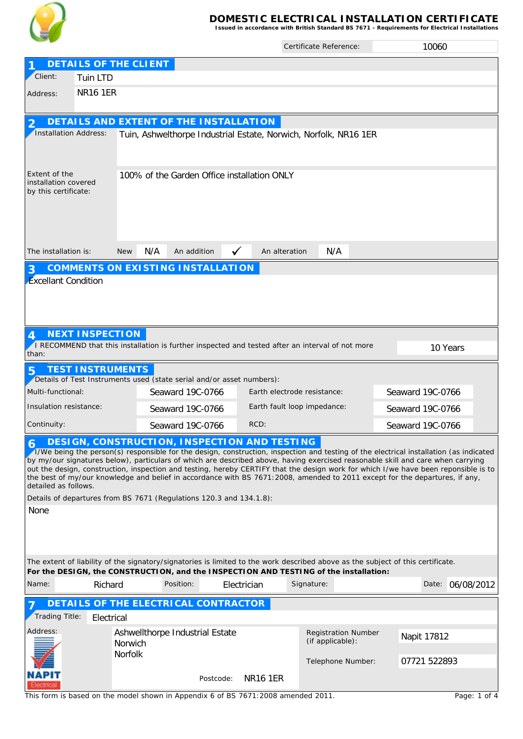

## **DOMESTIC ELECTRICAL INSTALLATION CERTIFICATE Issued in accordance with British Standard BS 7671 - Requirements for Electrical Installations**

|                                                                                                                                                                                                                                                                                                                                                                                                                                                                                                                                                                                                                                                                                |                              |                   |                                                                                                    |                               | Certificate Reference:      | 10060                                                                                                                                               |  |  |  |  |  |
|--------------------------------------------------------------------------------------------------------------------------------------------------------------------------------------------------------------------------------------------------------------------------------------------------------------------------------------------------------------------------------------------------------------------------------------------------------------------------------------------------------------------------------------------------------------------------------------------------------------------------------------------------------------------------------|------------------------------|-------------------|----------------------------------------------------------------------------------------------------|-------------------------------|-----------------------------|-----------------------------------------------------------------------------------------------------------------------------------------------------|--|--|--|--|--|
|                                                                                                                                                                                                                                                                                                                                                                                                                                                                                                                                                                                                                                                                                | <b>DETAILS OF THE CLIENT</b> |                   |                                                                                                    |                               |                             |                                                                                                                                                     |  |  |  |  |  |
| Client:                                                                                                                                                                                                                                                                                                                                                                                                                                                                                                                                                                                                                                                                        | Tuin LTD                     |                   |                                                                                                    |                               |                             |                                                                                                                                                     |  |  |  |  |  |
| Address:                                                                                                                                                                                                                                                                                                                                                                                                                                                                                                                                                                                                                                                                       | <b>NR16 1ER</b>              |                   |                                                                                                    |                               |                             |                                                                                                                                                     |  |  |  |  |  |
|                                                                                                                                                                                                                                                                                                                                                                                                                                                                                                                                                                                                                                                                                |                              |                   | DETAILS AND EXTENT OF THE INSTALLATION                                                             |                               |                             |                                                                                                                                                     |  |  |  |  |  |
| Installation Address:                                                                                                                                                                                                                                                                                                                                                                                                                                                                                                                                                                                                                                                          |                              |                   | Tuin, Ashwelthorpe Industrial Estate, Norwich, Norfolk, NR16 1ER                                   |                               |                             |                                                                                                                                                     |  |  |  |  |  |
| Extent of the<br>installation covered<br>by this certificate:                                                                                                                                                                                                                                                                                                                                                                                                                                                                                                                                                                                                                  |                              |                   | 100% of the Garden Office installation ONLY                                                        |                               |                             |                                                                                                                                                     |  |  |  |  |  |
| The installation is:                                                                                                                                                                                                                                                                                                                                                                                                                                                                                                                                                                                                                                                           |                              | N/A<br><b>New</b> | An addition                                                                                        | $\checkmark$<br>An alteration | N/A                         |                                                                                                                                                     |  |  |  |  |  |
| 3<br><b>Excellant Condition</b>                                                                                                                                                                                                                                                                                                                                                                                                                                                                                                                                                                                                                                                |                              |                   | <b>COMMENTS ON EXISTING INSTALLATION</b>                                                           |                               |                             |                                                                                                                                                     |  |  |  |  |  |
| than:                                                                                                                                                                                                                                                                                                                                                                                                                                                                                                                                                                                                                                                                          | <b>NEXT INSPECTION</b>       |                   | RECOMMEND that this installation is further inspected and tested after an interval of not more     |                               |                             | 10 Years                                                                                                                                            |  |  |  |  |  |
| 5                                                                                                                                                                                                                                                                                                                                                                                                                                                                                                                                                                                                                                                                              | <b>TEST INSTRUMENTS</b>      |                   |                                                                                                    |                               |                             |                                                                                                                                                     |  |  |  |  |  |
| Multi-functional:                                                                                                                                                                                                                                                                                                                                                                                                                                                                                                                                                                                                                                                              |                              |                   | Details of Test Instruments used (state serial and/or asset numbers):<br>Seaward 19C-0766          | Earth electrode resistance:   |                             | Seaward 19C-0766                                                                                                                                    |  |  |  |  |  |
| Insulation resistance:                                                                                                                                                                                                                                                                                                                                                                                                                                                                                                                                                                                                                                                         |                              |                   | Seaward 19C-0766                                                                                   |                               | Earth fault loop impedance: | Seaward 19C-0766                                                                                                                                    |  |  |  |  |  |
|                                                                                                                                                                                                                                                                                                                                                                                                                                                                                                                                                                                                                                                                                |                              |                   |                                                                                                    | RCD:                          |                             |                                                                                                                                                     |  |  |  |  |  |
| Continuity:<br>Seaward 19C-0766<br>Seaward 19C-0766<br>DESIGN, CONSTRUCTION, INSPECTION AND TESTING<br>I/We being the person(s) responsible for the design, construction, inspection and testing of the electrical installation (as indicated<br>by my/our signatures below), particulars of which are described above, having exercised reasonable skill and care when carrying<br>out the design, construction, inspection and testing, hereby CERTIFY that the design work for which I/we have been reponsible is to<br>the best of my/our knowledge and belief in accordance with BS 7671:2008, amended to 2011 except for the departures, if any,<br>detailed as follows. |                              |                   |                                                                                                    |                               |                             |                                                                                                                                                     |  |  |  |  |  |
| None                                                                                                                                                                                                                                                                                                                                                                                                                                                                                                                                                                                                                                                                           |                              |                   | Details of departures from BS 7671 (Regulations 120.3 and 134.1.8):                                |                               |                             |                                                                                                                                                     |  |  |  |  |  |
| Name:                                                                                                                                                                                                                                                                                                                                                                                                                                                                                                                                                                                                                                                                          | Richard                      |                   | For the DESIGN, the CONSTRUCTION, and the INSPECTION AND TESTING of the installation:<br>Position: | Electrician                   | Signature:                  | The extent of liability of the signatory/signatories is limited to the work described above as the subject of this certificate.<br>Date: 06/08/2012 |  |  |  |  |  |
|                                                                                                                                                                                                                                                                                                                                                                                                                                                                                                                                                                                                                                                                                |                              |                   |                                                                                                    |                               |                             |                                                                                                                                                     |  |  |  |  |  |
| Trading Title:                                                                                                                                                                                                                                                                                                                                                                                                                                                                                                                                                                                                                                                                 | Electrical                   |                   | DETAILS OF THE ELECTRICAL CONTRACTOR                                                               |                               |                             |                                                                                                                                                     |  |  |  |  |  |
| Address:                                                                                                                                                                                                                                                                                                                                                                                                                                                                                                                                                                                                                                                                       |                              |                   | Ashwellthorpe Industrial Estate                                                                    |                               | <b>Registration Number</b>  |                                                                                                                                                     |  |  |  |  |  |
|                                                                                                                                                                                                                                                                                                                                                                                                                                                                                                                                                                                                                                                                                |                              | Norwich           |                                                                                                    |                               | (if applicable):            | Napit 17812                                                                                                                                         |  |  |  |  |  |
|                                                                                                                                                                                                                                                                                                                                                                                                                                                                                                                                                                                                                                                                                |                              | Norfolk           |                                                                                                    |                               | Telephone Number:           | 07721 522893                                                                                                                                        |  |  |  |  |  |
|                                                                                                                                                                                                                                                                                                                                                                                                                                                                                                                                                                                                                                                                                |                              |                   | Postcode:                                                                                          | <b>NR16 1ER</b>               |                             |                                                                                                                                                     |  |  |  |  |  |

This form is based on the model shown in Appendix 6 of BS 7671:2008 amended 2011.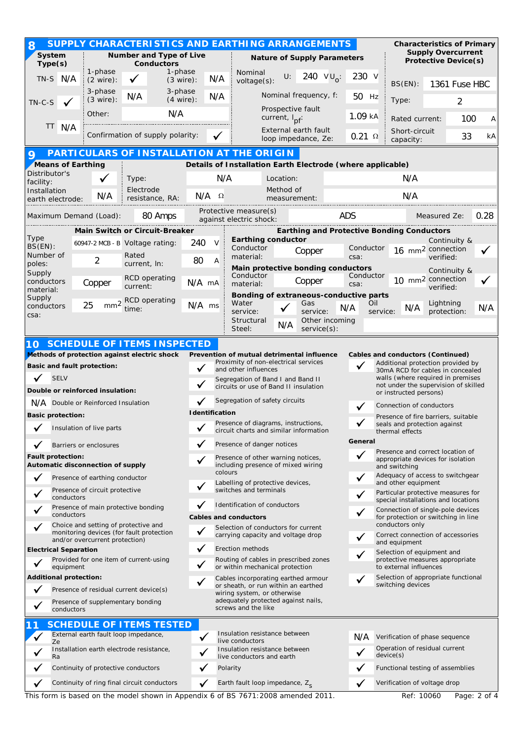| <b>Supply Overcurrent</b><br>System<br>Number and Type of Live<br><b>Nature of Supply Parameters</b><br><b>Protective Device(s)</b><br>Type(s)<br><b>Conductors</b><br>1-phase<br>1-phase<br>Nominal<br>240 $VU_0$ :<br>U:<br>230 V<br>TN-S N/A<br>N/A<br>$(2 \text{ wire})$ :<br>$(3 \text{ wire})$ :<br>voltage(s):<br>1361 Fuse HBC<br>BS(EN):<br>3-phase<br>3-phase<br>Nominal frequency, f:<br>N/A<br>N/A<br>50 Hz<br>$(3 \text{ wire})$ :<br>$(4 \text{ wire})$ :<br>Type:<br>2<br>$TN-C-S$<br>Prospective fault<br>N/A<br>Other:<br>$1.09$ kA<br>current, I <sub>pf</sub> :<br>100<br>Rated current:<br>Α<br>TT.<br>N/A<br>External earth fault<br>Short-circuit<br>Confirmation of supply polarity:<br>$0.21 \Omega$<br>33<br>kA<br>loop impedance, Ze:<br>capacity:<br>PARTICULARS OF INSTALLATION AT THE ORIGIN<br>Q<br>Means of Earthing<br>Details of Installation Earth Electrode (where applicable)<br>Distributor's<br>N/A<br>N/A<br>Location:<br>Type:<br>facility:<br>Electrode<br>Method of<br>Installation<br>N/A<br>$N/A$ $\Omega$<br>N/A<br>resistance, RA:<br>measurement:<br>earth electrode:<br>Protective measure(s)<br>ADS<br>Maximum Demand (Load):<br>Measured Ze:<br>80 Amps<br>0.28<br>against electric shock:<br><b>Earthing and Protective Bonding Conductors</b><br><b>Main Switch or Circuit-Breaker</b><br>Type<br><b>Earthing conductor</b><br>Continuity &<br>240<br>V<br>60947-2 MCB - B Voltage rating:<br>$BS(EN)$ :<br>Conductor<br>Conductor<br>16 mm <sup>2</sup> connection<br>Copper<br>Number of<br>Rated<br>material:<br>csa:<br>verified:<br>2<br>80<br>Α<br>poles:<br>current, In:<br>Main protective bonding conductors<br>Continuity &<br>Supply<br>Conductor<br>Conductor<br><b>RCD</b> operating<br>10 mm <sup>2</sup> connection<br>Copper<br>conductors<br>N/A mA<br>Copper<br>material:<br>csa:<br>current:<br>verified:<br>material:<br>Bonding of extraneous-conductive parts<br>Supply<br>mm <sup>2</sup> RCD operating<br>Water<br>Lightning<br>Gas<br>Oil<br>25<br>N/A ms<br>conductors<br>N/A<br>N/A<br>time:<br>N/A<br>service:<br>service:<br>protection:<br>service:<br>csa:<br>Other incoming<br>Structural<br>N/A<br>Steel:<br>$s$ ervice $(s)$ :<br><b>SCHEDULE OF ITEMS INSPECTED</b><br>10<br>Methods of protection against electric shock<br>Prevention of mutual detrimental influence<br>Cables and conductors (Continued)<br>Proximity of non-electrical services<br>Additional protection provided by<br><b>Basic and fault protection:</b><br>and other influences<br>30mA RCD for cables in concealed<br><b>SELV</b><br>walls (where required in premises<br>Segregation of Band I and Band II<br>not under the supervision of skilled<br>circuits or use of Band II insulation<br>Double or reinforced insulation:<br>or instructed persons)<br>Segregation of safety circuits<br>N/A Double or Reinforced Insulation<br>Connection of conductors<br><b>I</b> dentification<br><b>Basic protection:</b><br>Presence of fire barriers, suitable<br>Presence of diagrams, instructions,<br>seals and protection against<br>Insulation of live parts |
|---------------------------------------------------------------------------------------------------------------------------------------------------------------------------------------------------------------------------------------------------------------------------------------------------------------------------------------------------------------------------------------------------------------------------------------------------------------------------------------------------------------------------------------------------------------------------------------------------------------------------------------------------------------------------------------------------------------------------------------------------------------------------------------------------------------------------------------------------------------------------------------------------------------------------------------------------------------------------------------------------------------------------------------------------------------------------------------------------------------------------------------------------------------------------------------------------------------------------------------------------------------------------------------------------------------------------------------------------------------------------------------------------------------------------------------------------------------------------------------------------------------------------------------------------------------------------------------------------------------------------------------------------------------------------------------------------------------------------------------------------------------------------------------------------------------------------------------------------------------------------------------------------------------------------------------------------------------------------------------------------------------------------------------------------------------------------------------------------------------------------------------------------------------------------------------------------------------------------------------------------------------------------------------------------------------------------------------------------------------------------------------------------------------------------------------------------------------------------------------------------------------------------------------------------------------------------------------------------------------------------------------------------------------------------------------------------------------------------------------------------------------------------------------------------------------------------------------------------------------------------------------------------------------------------------------------------------------------------------------------------------------------------------------------------------------------------------------------------------------------------------|
|                                                                                                                                                                                                                                                                                                                                                                                                                                                                                                                                                                                                                                                                                                                                                                                                                                                                                                                                                                                                                                                                                                                                                                                                                                                                                                                                                                                                                                                                                                                                                                                                                                                                                                                                                                                                                                                                                                                                                                                                                                                                                                                                                                                                                                                                                                                                                                                                                                                                                                                                                                                                                                                                                                                                                                                                                                                                                                                                                                                                                                                                                                                                 |
|                                                                                                                                                                                                                                                                                                                                                                                                                                                                                                                                                                                                                                                                                                                                                                                                                                                                                                                                                                                                                                                                                                                                                                                                                                                                                                                                                                                                                                                                                                                                                                                                                                                                                                                                                                                                                                                                                                                                                                                                                                                                                                                                                                                                                                                                                                                                                                                                                                                                                                                                                                                                                                                                                                                                                                                                                                                                                                                                                                                                                                                                                                                                 |
|                                                                                                                                                                                                                                                                                                                                                                                                                                                                                                                                                                                                                                                                                                                                                                                                                                                                                                                                                                                                                                                                                                                                                                                                                                                                                                                                                                                                                                                                                                                                                                                                                                                                                                                                                                                                                                                                                                                                                                                                                                                                                                                                                                                                                                                                                                                                                                                                                                                                                                                                                                                                                                                                                                                                                                                                                                                                                                                                                                                                                                                                                                                                 |
|                                                                                                                                                                                                                                                                                                                                                                                                                                                                                                                                                                                                                                                                                                                                                                                                                                                                                                                                                                                                                                                                                                                                                                                                                                                                                                                                                                                                                                                                                                                                                                                                                                                                                                                                                                                                                                                                                                                                                                                                                                                                                                                                                                                                                                                                                                                                                                                                                                                                                                                                                                                                                                                                                                                                                                                                                                                                                                                                                                                                                                                                                                                                 |
|                                                                                                                                                                                                                                                                                                                                                                                                                                                                                                                                                                                                                                                                                                                                                                                                                                                                                                                                                                                                                                                                                                                                                                                                                                                                                                                                                                                                                                                                                                                                                                                                                                                                                                                                                                                                                                                                                                                                                                                                                                                                                                                                                                                                                                                                                                                                                                                                                                                                                                                                                                                                                                                                                                                                                                                                                                                                                                                                                                                                                                                                                                                                 |
|                                                                                                                                                                                                                                                                                                                                                                                                                                                                                                                                                                                                                                                                                                                                                                                                                                                                                                                                                                                                                                                                                                                                                                                                                                                                                                                                                                                                                                                                                                                                                                                                                                                                                                                                                                                                                                                                                                                                                                                                                                                                                                                                                                                                                                                                                                                                                                                                                                                                                                                                                                                                                                                                                                                                                                                                                                                                                                                                                                                                                                                                                                                                 |
|                                                                                                                                                                                                                                                                                                                                                                                                                                                                                                                                                                                                                                                                                                                                                                                                                                                                                                                                                                                                                                                                                                                                                                                                                                                                                                                                                                                                                                                                                                                                                                                                                                                                                                                                                                                                                                                                                                                                                                                                                                                                                                                                                                                                                                                                                                                                                                                                                                                                                                                                                                                                                                                                                                                                                                                                                                                                                                                                                                                                                                                                                                                                 |
|                                                                                                                                                                                                                                                                                                                                                                                                                                                                                                                                                                                                                                                                                                                                                                                                                                                                                                                                                                                                                                                                                                                                                                                                                                                                                                                                                                                                                                                                                                                                                                                                                                                                                                                                                                                                                                                                                                                                                                                                                                                                                                                                                                                                                                                                                                                                                                                                                                                                                                                                                                                                                                                                                                                                                                                                                                                                                                                                                                                                                                                                                                                                 |
|                                                                                                                                                                                                                                                                                                                                                                                                                                                                                                                                                                                                                                                                                                                                                                                                                                                                                                                                                                                                                                                                                                                                                                                                                                                                                                                                                                                                                                                                                                                                                                                                                                                                                                                                                                                                                                                                                                                                                                                                                                                                                                                                                                                                                                                                                                                                                                                                                                                                                                                                                                                                                                                                                                                                                                                                                                                                                                                                                                                                                                                                                                                                 |
|                                                                                                                                                                                                                                                                                                                                                                                                                                                                                                                                                                                                                                                                                                                                                                                                                                                                                                                                                                                                                                                                                                                                                                                                                                                                                                                                                                                                                                                                                                                                                                                                                                                                                                                                                                                                                                                                                                                                                                                                                                                                                                                                                                                                                                                                                                                                                                                                                                                                                                                                                                                                                                                                                                                                                                                                                                                                                                                                                                                                                                                                                                                                 |
|                                                                                                                                                                                                                                                                                                                                                                                                                                                                                                                                                                                                                                                                                                                                                                                                                                                                                                                                                                                                                                                                                                                                                                                                                                                                                                                                                                                                                                                                                                                                                                                                                                                                                                                                                                                                                                                                                                                                                                                                                                                                                                                                                                                                                                                                                                                                                                                                                                                                                                                                                                                                                                                                                                                                                                                                                                                                                                                                                                                                                                                                                                                                 |
|                                                                                                                                                                                                                                                                                                                                                                                                                                                                                                                                                                                                                                                                                                                                                                                                                                                                                                                                                                                                                                                                                                                                                                                                                                                                                                                                                                                                                                                                                                                                                                                                                                                                                                                                                                                                                                                                                                                                                                                                                                                                                                                                                                                                                                                                                                                                                                                                                                                                                                                                                                                                                                                                                                                                                                                                                                                                                                                                                                                                                                                                                                                                 |
|                                                                                                                                                                                                                                                                                                                                                                                                                                                                                                                                                                                                                                                                                                                                                                                                                                                                                                                                                                                                                                                                                                                                                                                                                                                                                                                                                                                                                                                                                                                                                                                                                                                                                                                                                                                                                                                                                                                                                                                                                                                                                                                                                                                                                                                                                                                                                                                                                                                                                                                                                                                                                                                                                                                                                                                                                                                                                                                                                                                                                                                                                                                                 |
|                                                                                                                                                                                                                                                                                                                                                                                                                                                                                                                                                                                                                                                                                                                                                                                                                                                                                                                                                                                                                                                                                                                                                                                                                                                                                                                                                                                                                                                                                                                                                                                                                                                                                                                                                                                                                                                                                                                                                                                                                                                                                                                                                                                                                                                                                                                                                                                                                                                                                                                                                                                                                                                                                                                                                                                                                                                                                                                                                                                                                                                                                                                                 |
|                                                                                                                                                                                                                                                                                                                                                                                                                                                                                                                                                                                                                                                                                                                                                                                                                                                                                                                                                                                                                                                                                                                                                                                                                                                                                                                                                                                                                                                                                                                                                                                                                                                                                                                                                                                                                                                                                                                                                                                                                                                                                                                                                                                                                                                                                                                                                                                                                                                                                                                                                                                                                                                                                                                                                                                                                                                                                                                                                                                                                                                                                                                                 |
|                                                                                                                                                                                                                                                                                                                                                                                                                                                                                                                                                                                                                                                                                                                                                                                                                                                                                                                                                                                                                                                                                                                                                                                                                                                                                                                                                                                                                                                                                                                                                                                                                                                                                                                                                                                                                                                                                                                                                                                                                                                                                                                                                                                                                                                                                                                                                                                                                                                                                                                                                                                                                                                                                                                                                                                                                                                                                                                                                                                                                                                                                                                                 |
|                                                                                                                                                                                                                                                                                                                                                                                                                                                                                                                                                                                                                                                                                                                                                                                                                                                                                                                                                                                                                                                                                                                                                                                                                                                                                                                                                                                                                                                                                                                                                                                                                                                                                                                                                                                                                                                                                                                                                                                                                                                                                                                                                                                                                                                                                                                                                                                                                                                                                                                                                                                                                                                                                                                                                                                                                                                                                                                                                                                                                                                                                                                                 |
|                                                                                                                                                                                                                                                                                                                                                                                                                                                                                                                                                                                                                                                                                                                                                                                                                                                                                                                                                                                                                                                                                                                                                                                                                                                                                                                                                                                                                                                                                                                                                                                                                                                                                                                                                                                                                                                                                                                                                                                                                                                                                                                                                                                                                                                                                                                                                                                                                                                                                                                                                                                                                                                                                                                                                                                                                                                                                                                                                                                                                                                                                                                                 |
|                                                                                                                                                                                                                                                                                                                                                                                                                                                                                                                                                                                                                                                                                                                                                                                                                                                                                                                                                                                                                                                                                                                                                                                                                                                                                                                                                                                                                                                                                                                                                                                                                                                                                                                                                                                                                                                                                                                                                                                                                                                                                                                                                                                                                                                                                                                                                                                                                                                                                                                                                                                                                                                                                                                                                                                                                                                                                                                                                                                                                                                                                                                                 |
|                                                                                                                                                                                                                                                                                                                                                                                                                                                                                                                                                                                                                                                                                                                                                                                                                                                                                                                                                                                                                                                                                                                                                                                                                                                                                                                                                                                                                                                                                                                                                                                                                                                                                                                                                                                                                                                                                                                                                                                                                                                                                                                                                                                                                                                                                                                                                                                                                                                                                                                                                                                                                                                                                                                                                                                                                                                                                                                                                                                                                                                                                                                                 |
|                                                                                                                                                                                                                                                                                                                                                                                                                                                                                                                                                                                                                                                                                                                                                                                                                                                                                                                                                                                                                                                                                                                                                                                                                                                                                                                                                                                                                                                                                                                                                                                                                                                                                                                                                                                                                                                                                                                                                                                                                                                                                                                                                                                                                                                                                                                                                                                                                                                                                                                                                                                                                                                                                                                                                                                                                                                                                                                                                                                                                                                                                                                                 |
|                                                                                                                                                                                                                                                                                                                                                                                                                                                                                                                                                                                                                                                                                                                                                                                                                                                                                                                                                                                                                                                                                                                                                                                                                                                                                                                                                                                                                                                                                                                                                                                                                                                                                                                                                                                                                                                                                                                                                                                                                                                                                                                                                                                                                                                                                                                                                                                                                                                                                                                                                                                                                                                                                                                                                                                                                                                                                                                                                                                                                                                                                                                                 |
|                                                                                                                                                                                                                                                                                                                                                                                                                                                                                                                                                                                                                                                                                                                                                                                                                                                                                                                                                                                                                                                                                                                                                                                                                                                                                                                                                                                                                                                                                                                                                                                                                                                                                                                                                                                                                                                                                                                                                                                                                                                                                                                                                                                                                                                                                                                                                                                                                                                                                                                                                                                                                                                                                                                                                                                                                                                                                                                                                                                                                                                                                                                                 |
|                                                                                                                                                                                                                                                                                                                                                                                                                                                                                                                                                                                                                                                                                                                                                                                                                                                                                                                                                                                                                                                                                                                                                                                                                                                                                                                                                                                                                                                                                                                                                                                                                                                                                                                                                                                                                                                                                                                                                                                                                                                                                                                                                                                                                                                                                                                                                                                                                                                                                                                                                                                                                                                                                                                                                                                                                                                                                                                                                                                                                                                                                                                                 |
|                                                                                                                                                                                                                                                                                                                                                                                                                                                                                                                                                                                                                                                                                                                                                                                                                                                                                                                                                                                                                                                                                                                                                                                                                                                                                                                                                                                                                                                                                                                                                                                                                                                                                                                                                                                                                                                                                                                                                                                                                                                                                                                                                                                                                                                                                                                                                                                                                                                                                                                                                                                                                                                                                                                                                                                                                                                                                                                                                                                                                                                                                                                                 |
| circuit charts and similar information<br>thermal effects                                                                                                                                                                                                                                                                                                                                                                                                                                                                                                                                                                                                                                                                                                                                                                                                                                                                                                                                                                                                                                                                                                                                                                                                                                                                                                                                                                                                                                                                                                                                                                                                                                                                                                                                                                                                                                                                                                                                                                                                                                                                                                                                                                                                                                                                                                                                                                                                                                                                                                                                                                                                                                                                                                                                                                                                                                                                                                                                                                                                                                                                       |
| General<br>Presence of danger notices<br>Barriers or enclosures<br>Presence and correct location of                                                                                                                                                                                                                                                                                                                                                                                                                                                                                                                                                                                                                                                                                                                                                                                                                                                                                                                                                                                                                                                                                                                                                                                                                                                                                                                                                                                                                                                                                                                                                                                                                                                                                                                                                                                                                                                                                                                                                                                                                                                                                                                                                                                                                                                                                                                                                                                                                                                                                                                                                                                                                                                                                                                                                                                                                                                                                                                                                                                                                             |
| Fault protection:<br>Presence of other warning notices,<br>appropriate devices for isolation<br>Automatic disconnection of supply<br>including presence of mixed wiring<br>and switching                                                                                                                                                                                                                                                                                                                                                                                                                                                                                                                                                                                                                                                                                                                                                                                                                                                                                                                                                                                                                                                                                                                                                                                                                                                                                                                                                                                                                                                                                                                                                                                                                                                                                                                                                                                                                                                                                                                                                                                                                                                                                                                                                                                                                                                                                                                                                                                                                                                                                                                                                                                                                                                                                                                                                                                                                                                                                                                                        |
| colours<br>Adequacy of access to switchgear<br>Presence of earthing conductor<br>and other equipment<br>Labelling of protective devices,                                                                                                                                                                                                                                                                                                                                                                                                                                                                                                                                                                                                                                                                                                                                                                                                                                                                                                                                                                                                                                                                                                                                                                                                                                                                                                                                                                                                                                                                                                                                                                                                                                                                                                                                                                                                                                                                                                                                                                                                                                                                                                                                                                                                                                                                                                                                                                                                                                                                                                                                                                                                                                                                                                                                                                                                                                                                                                                                                                                        |
| switches and terminals<br>Presence of circuit protective<br>Particular protective measures for<br>conductors<br>special installations and locations                                                                                                                                                                                                                                                                                                                                                                                                                                                                                                                                                                                                                                                                                                                                                                                                                                                                                                                                                                                                                                                                                                                                                                                                                                                                                                                                                                                                                                                                                                                                                                                                                                                                                                                                                                                                                                                                                                                                                                                                                                                                                                                                                                                                                                                                                                                                                                                                                                                                                                                                                                                                                                                                                                                                                                                                                                                                                                                                                                             |
| Identification of conductors<br>Presence of main protective bonding<br>Connection of single-pole devices<br>conductors<br><b>Cables and conductors</b><br>for protection or switching in line                                                                                                                                                                                                                                                                                                                                                                                                                                                                                                                                                                                                                                                                                                                                                                                                                                                                                                                                                                                                                                                                                                                                                                                                                                                                                                                                                                                                                                                                                                                                                                                                                                                                                                                                                                                                                                                                                                                                                                                                                                                                                                                                                                                                                                                                                                                                                                                                                                                                                                                                                                                                                                                                                                                                                                                                                                                                                                                                   |
| conductors only<br>Choice and setting of protective and<br>Selection of conductors for current<br>monitoring devices (for fault protection<br>carrying capacity and voltage drop<br>Correct connection of accessories                                                                                                                                                                                                                                                                                                                                                                                                                                                                                                                                                                                                                                                                                                                                                                                                                                                                                                                                                                                                                                                                                                                                                                                                                                                                                                                                                                                                                                                                                                                                                                                                                                                                                                                                                                                                                                                                                                                                                                                                                                                                                                                                                                                                                                                                                                                                                                                                                                                                                                                                                                                                                                                                                                                                                                                                                                                                                                           |
| $\checkmark$<br>and/or overcurrent protection)<br>and equipment<br>Erection methods<br><b>Electrical Separation</b>                                                                                                                                                                                                                                                                                                                                                                                                                                                                                                                                                                                                                                                                                                                                                                                                                                                                                                                                                                                                                                                                                                                                                                                                                                                                                                                                                                                                                                                                                                                                                                                                                                                                                                                                                                                                                                                                                                                                                                                                                                                                                                                                                                                                                                                                                                                                                                                                                                                                                                                                                                                                                                                                                                                                                                                                                                                                                                                                                                                                             |
| Selection of equipment and<br>Provided for one item of current-using<br>Routing of cables in prescribed zones<br>protective measures appropriate<br>or within mechanical protection<br>equipment<br>to external influences                                                                                                                                                                                                                                                                                                                                                                                                                                                                                                                                                                                                                                                                                                                                                                                                                                                                                                                                                                                                                                                                                                                                                                                                                                                                                                                                                                                                                                                                                                                                                                                                                                                                                                                                                                                                                                                                                                                                                                                                                                                                                                                                                                                                                                                                                                                                                                                                                                                                                                                                                                                                                                                                                                                                                                                                                                                                                                      |
| <b>Additional protection:</b><br>Selection of appropriate functional<br>Cables incorporating earthed armour                                                                                                                                                                                                                                                                                                                                                                                                                                                                                                                                                                                                                                                                                                                                                                                                                                                                                                                                                                                                                                                                                                                                                                                                                                                                                                                                                                                                                                                                                                                                                                                                                                                                                                                                                                                                                                                                                                                                                                                                                                                                                                                                                                                                                                                                                                                                                                                                                                                                                                                                                                                                                                                                                                                                                                                                                                                                                                                                                                                                                     |
| switching devices<br>or sheath, or run within an earthed<br>Presence of residual current device(s)<br>wiring system, or otherwise                                                                                                                                                                                                                                                                                                                                                                                                                                                                                                                                                                                                                                                                                                                                                                                                                                                                                                                                                                                                                                                                                                                                                                                                                                                                                                                                                                                                                                                                                                                                                                                                                                                                                                                                                                                                                                                                                                                                                                                                                                                                                                                                                                                                                                                                                                                                                                                                                                                                                                                                                                                                                                                                                                                                                                                                                                                                                                                                                                                               |
| adequately protected against nails,<br>Presence of supplementary bonding<br>screws and the like<br>conductors                                                                                                                                                                                                                                                                                                                                                                                                                                                                                                                                                                                                                                                                                                                                                                                                                                                                                                                                                                                                                                                                                                                                                                                                                                                                                                                                                                                                                                                                                                                                                                                                                                                                                                                                                                                                                                                                                                                                                                                                                                                                                                                                                                                                                                                                                                                                                                                                                                                                                                                                                                                                                                                                                                                                                                                                                                                                                                                                                                                                                   |
| <b>SCHEDULE OF ITEMS TESTED</b>                                                                                                                                                                                                                                                                                                                                                                                                                                                                                                                                                                                                                                                                                                                                                                                                                                                                                                                                                                                                                                                                                                                                                                                                                                                                                                                                                                                                                                                                                                                                                                                                                                                                                                                                                                                                                                                                                                                                                                                                                                                                                                                                                                                                                                                                                                                                                                                                                                                                                                                                                                                                                                                                                                                                                                                                                                                                                                                                                                                                                                                                                                 |
| Insulation resistance between<br>External earth fault loop impedance,<br>✓<br>N/A<br>Verification of phase sequence                                                                                                                                                                                                                                                                                                                                                                                                                                                                                                                                                                                                                                                                                                                                                                                                                                                                                                                                                                                                                                                                                                                                                                                                                                                                                                                                                                                                                                                                                                                                                                                                                                                                                                                                                                                                                                                                                                                                                                                                                                                                                                                                                                                                                                                                                                                                                                                                                                                                                                                                                                                                                                                                                                                                                                                                                                                                                                                                                                                                             |
| Operation of residual current<br>Installation earth electrode resistance,<br>Insulation resistance between                                                                                                                                                                                                                                                                                                                                                                                                                                                                                                                                                                                                                                                                                                                                                                                                                                                                                                                                                                                                                                                                                                                                                                                                                                                                                                                                                                                                                                                                                                                                                                                                                                                                                                                                                                                                                                                                                                                                                                                                                                                                                                                                                                                                                                                                                                                                                                                                                                                                                                                                                                                                                                                                                                                                                                                                                                                                                                                                                                                                                      |
| Continuity of protective conductors<br>Functional testing of assemblies<br>Polarity                                                                                                                                                                                                                                                                                                                                                                                                                                                                                                                                                                                                                                                                                                                                                                                                                                                                                                                                                                                                                                                                                                                                                                                                                                                                                                                                                                                                                                                                                                                                                                                                                                                                                                                                                                                                                                                                                                                                                                                                                                                                                                                                                                                                                                                                                                                                                                                                                                                                                                                                                                                                                                                                                                                                                                                                                                                                                                                                                                                                                                             |
| Continuity of ring final circuit conductors<br>Earth fault loop impedance, Z <sub>s</sub><br>Verification of voltage drop<br>$\checkmark$                                                                                                                                                                                                                                                                                                                                                                                                                                                                                                                                                                                                                                                                                                                                                                                                                                                                                                                                                                                                                                                                                                                                                                                                                                                                                                                                                                                                                                                                                                                                                                                                                                                                                                                                                                                                                                                                                                                                                                                                                                                                                                                                                                                                                                                                                                                                                                                                                                                                                                                                                                                                                                                                                                                                                                                                                                                                                                                                                                                       |
| live conductors<br>Ze<br>device(s)<br>live conductors and earth<br>Ra                                                                                                                                                                                                                                                                                                                                                                                                                                                                                                                                                                                                                                                                                                                                                                                                                                                                                                                                                                                                                                                                                                                                                                                                                                                                                                                                                                                                                                                                                                                                                                                                                                                                                                                                                                                                                                                                                                                                                                                                                                                                                                                                                                                                                                                                                                                                                                                                                                                                                                                                                                                                                                                                                                                                                                                                                                                                                                                                                                                                                                                           |
|                                                                                                                                                                                                                                                                                                                                                                                                                                                                                                                                                                                                                                                                                                                                                                                                                                                                                                                                                                                                                                                                                                                                                                                                                                                                                                                                                                                                                                                                                                                                                                                                                                                                                                                                                                                                                                                                                                                                                                                                                                                                                                                                                                                                                                                                                                                                                                                                                                                                                                                                                                                                                                                                                                                                                                                                                                                                                                                                                                                                                                                                                                                                 |

This form is based on the model shown in Appendix 6 of BS 7671:2008 amended 2011. Ref: 10060 Page: 2 of 4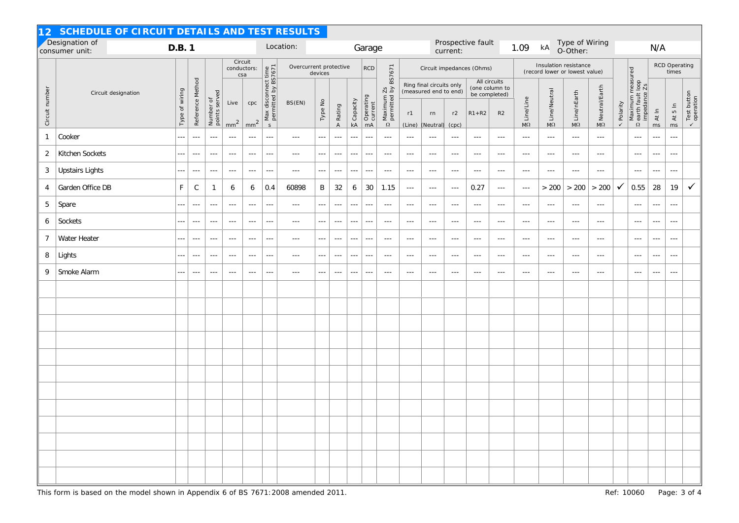| 12 SCHEDULE OF CIRCUIT DETAILS AND TEST RESULTS |                                  |                |                      |                            |                         |                        |                                                            |                                   |                      |                      |                              |                            |                                                      |                               |                                                                                     |                      |                                                                    |                      |                                                         |                            |                            |                      |                  |                                                        |                          |                       |                                          |  |  |
|-------------------------------------------------|----------------------------------|----------------|----------------------|----------------------------|-------------------------|------------------------|------------------------------------------------------------|-----------------------------------|----------------------|----------------------|------------------------------|----------------------------|------------------------------------------------------|-------------------------------|-------------------------------------------------------------------------------------|----------------------|--------------------------------------------------------------------|----------------------|---------------------------------------------------------|----------------------------|----------------------------|----------------------|------------------|--------------------------------------------------------|--------------------------|-----------------------|------------------------------------------|--|--|
|                                                 | Designation of<br>consumer unit: | D.B. 1         |                      |                            |                         |                        |                                                            | Location:                         |                      | Garage               |                              |                            |                                                      | Prospective fault<br>current: |                                                                                     |                      |                                                                    |                      | 1.09                                                    | kA                         | Type of Wiring<br>O-Other: |                      | N/A              |                                                        |                          |                       |                                          |  |  |
|                                                 |                                  |                |                      |                            | conductors:             | Circuit<br>csa         |                                                            | Overcurrent protective<br>devices |                      |                      | <b>RCD</b>                   | BS7671                     | Circuit impedances (Ohms)                            |                               |                                                                                     |                      |                                                                    |                      | Insulation resistance<br>(record lower or lowest value) |                            |                            |                      |                  | <b>RCD Operating</b>                                   | times                    |                       |                                          |  |  |
| Circuit number                                  | Circuit designation              | Type of wiring | Reference Method     | Number of<br>points served | Live<br>mm <sup>2</sup> | cpc<br>mm <sup>2</sup> | Max disconnect time<br>permitted by BS7671<br>$\mathsf{s}$ | BS(EN)                            | Type No              | <b>&gt;</b> Rating   | $\overline{\Sigma}$ Capacity | Operating<br>current<br>mA | $\frac{2s}{d}$<br>Maximum<br>permitted l<br>$\Omega$ | r1<br>(Line)                  | Ring final circuits only<br>(measured end to end)<br>r2<br>rn<br>(Neutral)<br>(cpc) |                      | All circuits<br>(one column to<br>be completed)<br>R2<br>$R1 + R2$ |                      | $\frac{1}{2}$ Line/Line                                 | $\frac{1}{2}$ Line/Neutral | ∑ Line/nEarth              | S<br>Neutral/Earth   | <b>、Polarity</b> | Maximum measured<br>2 earth fault loop<br>impedance Zs | At In<br>ms              | $\frac{3}{5}$ At 5 In | Test button<br>operation<br>$\checkmark$ |  |  |
| $\mathbf{1}$                                    | Cooker                           | ---            | $\sim$ $\sim$ $\sim$ | $\sim$ $\sim$ $\sim$       | $\sim$ $\sim$ $\sim$    | $\sim$ $\sim$ $\sim$   | $\sim$ $\sim$ $\sim$                                       | $\sim$ $\sim$ $\sim$              | $\ldots$             | $\sim$ $\sim$ $\sim$ | $\sim$ $\sim$ $\sim$         | $\sim$ $\sim$              | $\sim$ $\sim$ $\sim$                                 | $\sim$ $\sim$ $\sim$          | $\sim$ $\sim$ $\sim$                                                                | $\sim$ $\sim$ $\sim$ | $\sim$ $\sim$ $\sim$                                               | $\sim$ $\sim$ $\sim$ | $\sim$ $\sim$ $\sim$                                    | $\sim$ $\sim$ $\sim$       | $\sim$ $\sim$ $\sim$       | $\sim$ $\sim$ $\sim$ |                  | $\sim$ $\sim$ $\sim$                                   | $\sim$ $\sim$ $\sim$     | $\sim$ $\sim$         |                                          |  |  |
| $\overline{2}$                                  | Kitchen Sockets                  | ---            | $\sim$ $\sim$ $\sim$ | $\sim$ $\sim$ $\sim$       | $\sim$ $\sim$ $\sim$    | $\sim$ $\sim$ $\sim$   | $- - -$                                                    | $\sim$ $\sim$ $\sim$              | $- - -$              | $\sim$ $\sim$ $\sim$ | $\sim$ $\sim$ $\sim$         | $\sim$ $\sim$ $\sim$       | $\sim$ $\sim$ $\sim$                                 | $\sim$ $\sim$ $\sim$          | $\sim$ $\sim$ $\sim$                                                                | $\sim$ $\sim$ $\sim$ | $\sim$ $\sim$ $\sim$                                               | $\sim$ $\sim$ $\sim$ | $\sim$ $\sim$ $\sim$                                    | $\sim$ $\sim$ $\sim$       | $\sim$ $\sim$ $\sim$       | $\sim$ $\sim$ $\sim$ |                  | $\sim$ $\sim$ $\sim$                                   | $- - -$                  | $\sim$ $\sim$ $\sim$  |                                          |  |  |
| 3                                               | <b>Upstairs Lights</b>           | ---            | $\sim$ $\sim$ $\sim$ | $\sim$ $\sim$ $\sim$       | $  -$                   | $\sim$ $\sim$ $\sim$   | $\sim$ $\sim$ $\sim$                                       | $\cdots$                          | $- - -$              | $\sim$ $\sim$ $\sim$ | $\sim$ $\sim$ $\sim$         | $- - -$                    | $- - -$                                              | $\sim$ $\sim$ $\sim$          | $\sim$ $\sim$ $\sim$                                                                | $- - -$              | $-$                                                                | $\sim$ $\sim$ $\sim$ | $  -$                                                   | $\sim$ $\sim$ $\sim$       | $\sim$ $\sim$ $\sim$       | $- - -$              |                  | $- - -$                                                | $- - -$                  | $\sim$ $\sim$ $\sim$  |                                          |  |  |
| $\overline{4}$                                  | Garden Office DB                 | $\mathsf F$    | $\mathsf C$          | $\mathbf{1}$               | 6                       | 6                      | 0.4                                                        | 60898                             | B                    | 32                   | 6                            | 30                         | 1.15                                                 | $\sim$ $\sim$ $\sim$          | $\sim$ $\sim$ $\sim$                                                                | $\sim$ $\sim$ $\sim$ | 0.27                                                               | $\sim$ $\sim$ $\sim$ | $\sim$ $\sim$ $\sim$                                    | > 200                      | > 200                      | $>200$               | ✓                | 0.55                                                   | 28                       | 19                    | $\checkmark$                             |  |  |
| 5                                               | Spare                            | ---            | $\sim$ $\sim$ $\sim$ | $\sim$ $\sim$ $\sim$       | $\sim$ $\sim$ $\sim$    | $\sim$ $\sim$ $\sim$   | $\sim$ $\sim$ $\sim$                                       | $\sim$ $\sim$ $\sim$              | $\sim$ $\sim$ $\sim$ | $\sim$ $\sim$ $\sim$ | $\sim$ $\sim$ $\sim$         | $\sim$ $\sim$              | $\sim$ $\sim$ $\sim$                                 | $\sim$ $\sim$ $\sim$          | $\sim$ $\sim$ $\sim$                                                                | $\sim$ $\sim$ $\sim$ | $\sim$ $\sim$ $\sim$                                               | $\sim$ $\sim$ $\sim$ | $\sim$ $\sim$ $\sim$                                    | $\sim$ $\sim$ $\sim$       | $\sim$ $\sim$ $\sim$       | $\sim$ $\sim$        |                  | $\sim$ $\sim$ $\sim$                                   | $\sim$ $\sim$ $\sim$     | $\sim$ $\sim$ $\sim$  |                                          |  |  |
| 6                                               | Sockets                          | ---            | $\sim$ $\sim$ $\sim$ | $\sim$ $\sim$ $\sim$       | $  -$                   | $\sim$ $\sim$ $\sim$   | $\sim$ $\sim$ $\sim$                                       | $\sim$ $\sim$ $\sim$              | $\sim$ $\sim$ $\sim$ | $\sim$ $\sim$ $\sim$ | $\sim$ $\sim$ $\sim$         | $\sim$ $\sim$ $\sim$       | $\sim$ $\sim$ $\sim$                                 | $\sim$ $\sim$ $\sim$          | $\sim$ $\sim$ $\sim$                                                                | $\sim$ $\sim$ $\sim$ | $- - -$                                                            | $\sim$ $\sim$ $\sim$ | $\sim$ $\sim$ $\sim$                                    | $\sim$ $\sim$ $\sim$       | $\sim$ $\sim$ $\sim$       | $\frac{1}{2}$        |                  | $\sim$ $\sim$ $\sim$                                   | $- - -$                  | $\sim$ $\sim$ $\sim$  |                                          |  |  |
| $\overline{7}$                                  | Water Heater                     | ---            | $\sim$ $\sim$ $\sim$ | $\sim$ $\sim$ $\sim$       | $\cdots$                | $\sim$ $\sim$ $\sim$   | $\sim$ $\sim$ $\sim$                                       | $\sim$ $\sim$ $\sim$              | ---                  | $\cdots$             | $\sim$ $\sim$ $\sim$         | $\overline{\phantom{a}}$   | $\sim$ $\sim$ $\sim$                                 | $\sim$ $\sim$ $\sim$          | $\sim$ $\sim$ $\sim$                                                                | $\sim$ $\sim$ $\sim$ | $\sim$ $\sim$ $\sim$                                               | $\sim$ $\sim$ $\sim$ | $\sim$ $\sim$ $\sim$                                    | $\sim$ $\sim$ $\sim$       | $\sim$ $\sim$              | $\cdots$             |                  | $\sim$ $\sim$ $\sim$                                   | $\overline{\phantom{a}}$ | $\sim$ $\sim$ $\sim$  |                                          |  |  |
| 8                                               | Lights                           | ---            | $\sim$ $\sim$ $\sim$ | $\sim$ $\sim$ $\sim$       | $\cdots$                | $\sim$ $\sim$ $\sim$   | $\sim$ $\sim$ $\sim$                                       | $\sim$ $\sim$ $\sim$              | $\frac{1}{2}$        | $\sim$ $\sim$ $\sim$ | $\sim$ $\sim$ $\sim$         | $\sim$ $\sim$              | $\sim$ $\sim$ $\sim$                                 | $\sim$ $\sim$ $\sim$          | $\sim$ $\sim$ $\sim$                                                                | $\sim$ $\sim$ $\sim$ | $\sim$ $\sim$ $\sim$                                               | $\sim$ $\sim$ $\sim$ | $  -$                                                   | $\sim$ $\sim$ $\sim$       | $\sim$ $\sim$ $\sim$       | $\frac{1}{2}$        |                  | $\sim$ $\sim$ $\sim$                                   | $- - -$                  | $\cdots$              |                                          |  |  |
| 9                                               | Smoke Alarm                      | ---            | $\sim$ $\sim$ $\sim$ | $\sim$ $\sim$ $\sim$       | $\sim$ $\sim$ $\sim$    | $\sim$ $\sim$ $\sim$   | $\sim$ $\sim$ $\sim$                                       | $\sim$ $\sim$ $\sim$              | $- - -$              | $\frac{1}{2}$        | $\sim$ $\sim$ $\sim$         | $- - -$                    | $\sim$ $\sim$ $\sim$                                 | $\sim$ $\sim$ $\sim$          | $\sim$ $\sim$ $\sim$                                                                | $\sim$ $\sim$ $\sim$ | $\sim$ $\sim$ $\sim$                                               | $\sim$ $\sim$        | $\sim$ $\sim$ $\sim$                                    | $\sim$ $\sim$ $\sim$       | $\sim$ $\sim$ $\sim$       | $\sim$ $\sim$ $\sim$ |                  | $\sim$ $\sim$ $\sim$                                   | $\sim$ $\sim$ $\sim$     | $- - -$               |                                          |  |  |
|                                                 |                                  |                |                      |                            |                         |                        |                                                            |                                   |                      |                      |                              |                            |                                                      |                               |                                                                                     |                      |                                                                    |                      |                                                         |                            |                            |                      |                  |                                                        |                          |                       |                                          |  |  |
|                                                 |                                  |                |                      |                            |                         |                        |                                                            |                                   |                      |                      |                              |                            |                                                      |                               |                                                                                     |                      |                                                                    |                      |                                                         |                            |                            |                      |                  |                                                        |                          |                       |                                          |  |  |
|                                                 |                                  |                |                      |                            |                         |                        |                                                            |                                   |                      |                      |                              |                            |                                                      |                               |                                                                                     |                      |                                                                    |                      |                                                         |                            |                            |                      |                  |                                                        |                          |                       |                                          |  |  |
|                                                 |                                  |                |                      |                            |                         |                        |                                                            |                                   |                      |                      |                              |                            |                                                      |                               |                                                                                     |                      |                                                                    |                      |                                                         |                            |                            |                      |                  |                                                        |                          |                       |                                          |  |  |
|                                                 |                                  |                |                      |                            |                         |                        |                                                            |                                   |                      |                      |                              |                            |                                                      |                               |                                                                                     |                      |                                                                    |                      |                                                         |                            |                            |                      |                  |                                                        |                          |                       |                                          |  |  |
|                                                 |                                  |                |                      |                            |                         |                        |                                                            |                                   |                      |                      |                              |                            |                                                      |                               |                                                                                     |                      |                                                                    |                      |                                                         |                            |                            |                      |                  |                                                        |                          |                       |                                          |  |  |
|                                                 |                                  |                |                      |                            |                         |                        |                                                            |                                   |                      |                      |                              |                            |                                                      |                               |                                                                                     |                      |                                                                    |                      |                                                         |                            |                            |                      |                  |                                                        |                          |                       |                                          |  |  |
|                                                 |                                  |                |                      |                            |                         |                        |                                                            |                                   |                      |                      |                              |                            |                                                      |                               |                                                                                     |                      |                                                                    |                      |                                                         |                            |                            |                      |                  |                                                        |                          |                       |                                          |  |  |
|                                                 |                                  |                |                      |                            |                         |                        |                                                            |                                   |                      |                      |                              |                            |                                                      |                               |                                                                                     |                      |                                                                    |                      |                                                         |                            |                            |                      |                  |                                                        |                          |                       |                                          |  |  |
|                                                 |                                  |                |                      |                            |                         |                        |                                                            |                                   |                      |                      |                              |                            |                                                      |                               |                                                                                     |                      |                                                                    |                      |                                                         |                            |                            |                      |                  |                                                        |                          |                       |                                          |  |  |
|                                                 |                                  |                |                      |                            |                         |                        |                                                            |                                   |                      |                      |                              |                            |                                                      |                               |                                                                                     |                      |                                                                    |                      |                                                         |                            |                            |                      |                  |                                                        |                          |                       |                                          |  |  |
|                                                 |                                  |                |                      |                            |                         |                        |                                                            |                                   |                      |                      |                              |                            |                                                      |                               |                                                                                     |                      |                                                                    |                      |                                                         |                            |                            |                      |                  |                                                        |                          |                       |                                          |  |  |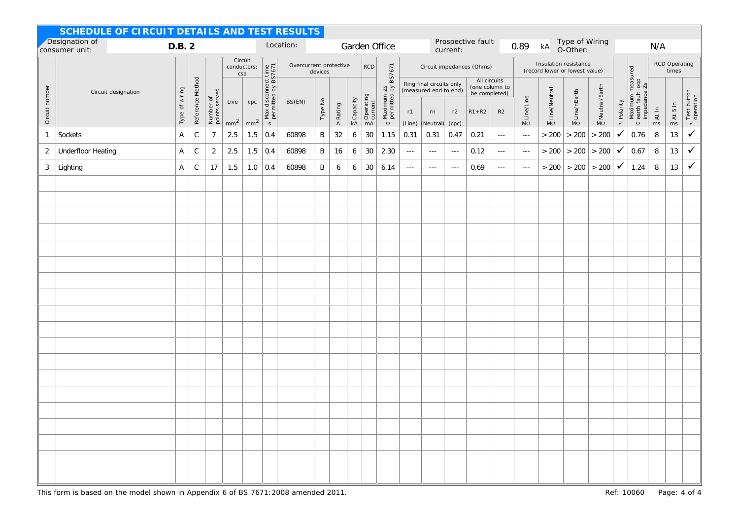| SCHEDULE OF CIRCUIT DETAILS AND TEST RESULTS |                                  |                           |                  |                            |                         |                        |                                                           |        |               |                        |                         |                            |                                       |                      |                                                                      |                      |                                                                    |                      |                                                      |                                                         |                           |                        |                  |                                                        |             |                                              |                                     |  |  |
|----------------------------------------------|----------------------------------|---------------------------|------------------|----------------------------|-------------------------|------------------------|-----------------------------------------------------------|--------|---------------|------------------------|-------------------------|----------------------------|---------------------------------------|----------------------|----------------------------------------------------------------------|----------------------|--------------------------------------------------------------------|----------------------|------------------------------------------------------|---------------------------------------------------------|---------------------------|------------------------|------------------|--------------------------------------------------------|-------------|----------------------------------------------|-------------------------------------|--|--|
|                                              | Designation of<br>consumer unit: | D.B. 2                    |                  |                            |                         |                        | Location:                                                 |        | Garden Office |                        |                         |                            | Prospective fault<br>current:         |                      |                                                                      |                      |                                                                    | 0.89                 | Type of Wiring<br>$\mathsf{k}\mathsf{A}$<br>O-Other: |                                                         |                           |                        | N/A              |                                                        |             |                                              |                                     |  |  |
|                                              |                                  | Type of wiring            |                  |                            | conductors:             | Circuit<br>csa         |                                                           |        | devices       | Overcurrent protective |                         |                            | BS7671<br><b>RCD</b>                  |                      |                                                                      |                      | Circuit impedances (Ohms)                                          |                      |                                                      | Insulation resistance<br>(record lower or lowest value) |                           |                        |                  |                                                        |             | RCD Operating<br>times                       |                                     |  |  |
| Circuit number<br>Circuit designation        |                                  |                           | Reference Method | Number of<br>points served | Live<br>mm <sup>2</sup> | cpc<br>mm <sup>2</sup> | Max disconnect time<br>permitted by BS7671<br>$\mathsf S$ | BS(EN) | Type No       | <b>&gt;</b> Rating     | $\overline{P}$ Capacity | Operating<br>current<br>mA | $\frac{2s}{d}$<br>Maximum<br>$\Omega$ | r1<br>(Line)         | Ring final circuits only<br>(measured end to end)<br>rn<br>(Neutral) | r2<br>(cpc)          | All circuits<br>(one column to<br>be completed)<br>$R1 + R2$<br>R2 |                      | Line/Line<br>$M\Omega$                               | $\frac{8}{2}$ Line/Neutral                              | $\frac{8}{2}$ Line/nEarth | <b>S</b> Neutral/Earth | <b>、Polarity</b> | Maximum measured<br>2 earth fault loop<br>impedance Zs | At In<br>ms | $\frac{5}{6}$<br>$\tilde{\mathcal{A}}$<br>ms | $\overline{\leftarrow}$ Test button |  |  |
| $\mathbf{1}$                                 | Sockets                          | $\boldsymbol{\mathsf{A}}$ | $\mathsf C$      | $\boldsymbol{7}$           | 2.5                     | 1.5                    | 0.4                                                       | 60898  | $\sf B$       | 32                     | $\boldsymbol{6}$        | $30\,$                     | 1.15                                  | 0.31                 | 0.31                                                                 | 0.47                 | 0.21                                                               | $\sim$ $\sim$ $\sim$ | $\sim$ $\sim$ $\sim$                                 | > 200                                                   | > 200                     | > 200                  | ✓                | 0.76                                                   | 8           | $13$                                         | $\checkmark$                        |  |  |
| 2                                            | <b>Underfloor Heating</b>        | A                         | $\mathsf C$      | $\overline{2}$             | 2.5                     | 1.5                    | 0.4                                                       | 60898  | B             | 16                     | 6                       | 30                         | 2.30                                  | $\sim$ $\sim$        | $\sim$ $\sim$ $\sim$                                                 | $\sim$ $\sim$ $\sim$ | 0.12                                                               | $\sim$ $\sim$ $\sim$ | $\sim$ $\sim$ $\sim$                                 | > 200                                                   | > 200                     | > 200                  | ✓                | 0.67                                                   | 8           | $13$                                         | $\checkmark$                        |  |  |
| 3                                            | Lighting                         | A                         | $\mathsf C$      | 17                         | 1.5                     | 1.0                    | 0.4                                                       | 60898  | $\mathsf B$   | 6                      | 6                       | 30                         | 6.14                                  | $\sim$ $\sim$ $\sim$ | $\sim$ $\sim$ $\sim$                                                 | $\sim$ $\sim$ $\sim$ | 0.69                                                               | $\sim$ $\sim$ $\sim$ | $\sim$ $\sim$ $\sim$                                 | >200                                                    | >200                      | $>200$                 | $\checkmark$     | 1.24                                                   | 8           | 13                                           | $\checkmark$                        |  |  |
|                                              |                                  |                           |                  |                            |                         |                        |                                                           |        |               |                        |                         |                            |                                       |                      |                                                                      |                      |                                                                    |                      |                                                      |                                                         |                           |                        |                  |                                                        |             |                                              |                                     |  |  |
|                                              |                                  |                           |                  |                            |                         |                        |                                                           |        |               |                        |                         |                            |                                       |                      |                                                                      |                      |                                                                    |                      |                                                      |                                                         |                           |                        |                  |                                                        |             |                                              |                                     |  |  |
|                                              |                                  |                           |                  |                            |                         |                        |                                                           |        |               |                        |                         |                            |                                       |                      |                                                                      |                      |                                                                    |                      |                                                      |                                                         |                           |                        |                  |                                                        |             |                                              |                                     |  |  |
|                                              |                                  |                           |                  |                            |                         |                        |                                                           |        |               |                        |                         |                            |                                       |                      |                                                                      |                      |                                                                    |                      |                                                      |                                                         |                           |                        |                  |                                                        |             |                                              |                                     |  |  |
|                                              |                                  |                           |                  |                            |                         |                        |                                                           |        |               |                        |                         |                            |                                       |                      |                                                                      |                      |                                                                    |                      |                                                      |                                                         |                           |                        |                  |                                                        |             |                                              |                                     |  |  |
|                                              |                                  |                           |                  |                            |                         |                        |                                                           |        |               |                        |                         |                            |                                       |                      |                                                                      |                      |                                                                    |                      |                                                      |                                                         |                           |                        |                  |                                                        |             |                                              |                                     |  |  |
|                                              |                                  |                           |                  |                            |                         |                        |                                                           |        |               |                        |                         |                            |                                       |                      |                                                                      |                      |                                                                    |                      |                                                      |                                                         |                           |                        |                  |                                                        |             |                                              |                                     |  |  |
|                                              |                                  |                           |                  |                            |                         |                        |                                                           |        |               |                        |                         |                            |                                       |                      |                                                                      |                      |                                                                    |                      |                                                      |                                                         |                           |                        |                  |                                                        |             |                                              |                                     |  |  |
|                                              |                                  |                           |                  |                            |                         |                        |                                                           |        |               |                        |                         |                            |                                       |                      |                                                                      |                      |                                                                    |                      |                                                      |                                                         |                           |                        |                  |                                                        |             |                                              |                                     |  |  |
|                                              |                                  |                           |                  |                            |                         |                        |                                                           |        |               |                        |                         |                            |                                       |                      |                                                                      |                      |                                                                    |                      |                                                      |                                                         |                           |                        |                  |                                                        |             |                                              |                                     |  |  |
|                                              |                                  |                           |                  |                            |                         |                        |                                                           |        |               |                        |                         |                            |                                       |                      |                                                                      |                      |                                                                    |                      |                                                      |                                                         |                           |                        |                  |                                                        |             |                                              |                                     |  |  |
|                                              |                                  |                           |                  |                            |                         |                        |                                                           |        |               |                        |                         |                            |                                       |                      |                                                                      |                      |                                                                    |                      |                                                      |                                                         |                           |                        |                  |                                                        |             |                                              |                                     |  |  |
|                                              |                                  |                           |                  |                            |                         |                        |                                                           |        |               |                        |                         |                            |                                       |                      |                                                                      |                      |                                                                    |                      |                                                      |                                                         |                           |                        |                  |                                                        |             |                                              |                                     |  |  |
|                                              |                                  |                           |                  |                            |                         |                        |                                                           |        |               |                        |                         |                            |                                       |                      |                                                                      |                      |                                                                    |                      |                                                      |                                                         |                           |                        |                  |                                                        |             |                                              |                                     |  |  |
|                                              |                                  |                           |                  |                            |                         |                        |                                                           |        |               |                        |                         |                            |                                       |                      |                                                                      |                      |                                                                    |                      |                                                      |                                                         |                           |                        |                  |                                                        |             |                                              |                                     |  |  |
|                                              |                                  |                           |                  |                            |                         |                        |                                                           |        |               |                        |                         |                            |                                       |                      |                                                                      |                      |                                                                    |                      |                                                      |                                                         |                           |                        |                  |                                                        |             |                                              |                                     |  |  |
|                                              |                                  |                           |                  |                            |                         |                        |                                                           |        |               |                        |                         |                            |                                       |                      |                                                                      |                      |                                                                    |                      |                                                      |                                                         |                           |                        |                  |                                                        |             |                                              |                                     |  |  |
|                                              |                                  |                           |                  |                            |                         |                        |                                                           |        |               |                        |                         |                            |                                       |                      |                                                                      |                      |                                                                    |                      |                                                      |                                                         |                           |                        |                  |                                                        |             |                                              |                                     |  |  |
|                                              |                                  |                           |                  |                            |                         |                        |                                                           |        |               |                        |                         |                            |                                       |                      |                                                                      |                      |                                                                    |                      |                                                      |                                                         |                           |                        |                  |                                                        |             |                                              |                                     |  |  |